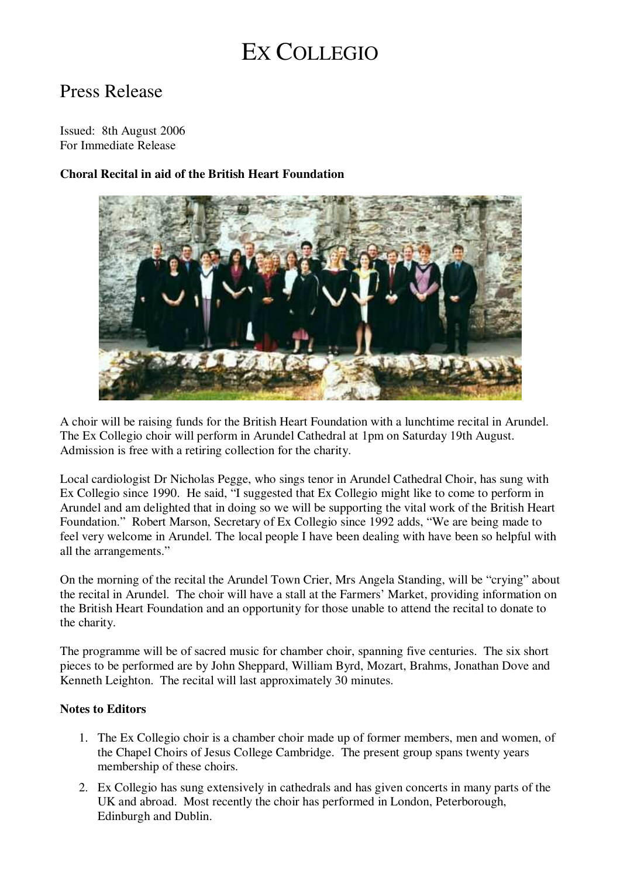# EX COLLEGIO

## Press Release

Issued: 8th August 2006 For Immediate Release

### **Choral Recital in aid of the British Heart Foundation**



A choir will be raising funds for the British Heart Foundation with a lunchtime recital in Arundel. The Ex Collegio choir will perform in Arundel Cathedral at 1pm on Saturday 19th August. Admission is free with a retiring collection for the charity.

Local cardiologist Dr Nicholas Pegge, who sings tenor in Arundel Cathedral Choir, has sung with Ex Collegio since 1990. He said, "I suggested that Ex Collegio might like to come to perform in Arundel and am delighted that in doing so we will be supporting the vital work of the British Heart Foundation." Robert Marson, Secretary of Ex Collegio since 1992 adds, "We are being made to feel very welcome in Arundel. The local people I have been dealing with have been so helpful with all the arrangements."

On the morning of the recital the Arundel Town Crier, Mrs Angela Standing, will be "crying" about the recital in Arundel. The choir will have a stall at the Farmers' Market, providing information on the British Heart Foundation and an opportunity for those unable to attend the recital to donate to the charity.

The programme will be of sacred music for chamber choir, spanning five centuries. The six short pieces to be performed are by John Sheppard, William Byrd, Mozart, Brahms, Jonathan Dove and Kenneth Leighton. The recital will last approximately 30 minutes.

#### **Notes to Editors**

- 1. The Ex Collegio choir is a chamber choir made up of former members, men and women, of the Chapel Choirs of Jesus College Cambridge. The present group spans twenty years membership of these choirs.
- 2. Ex Collegio has sung extensively in cathedrals and has given concerts in many parts of the UK and abroad. Most recently the choir has performed in London, Peterborough, Edinburgh and Dublin.